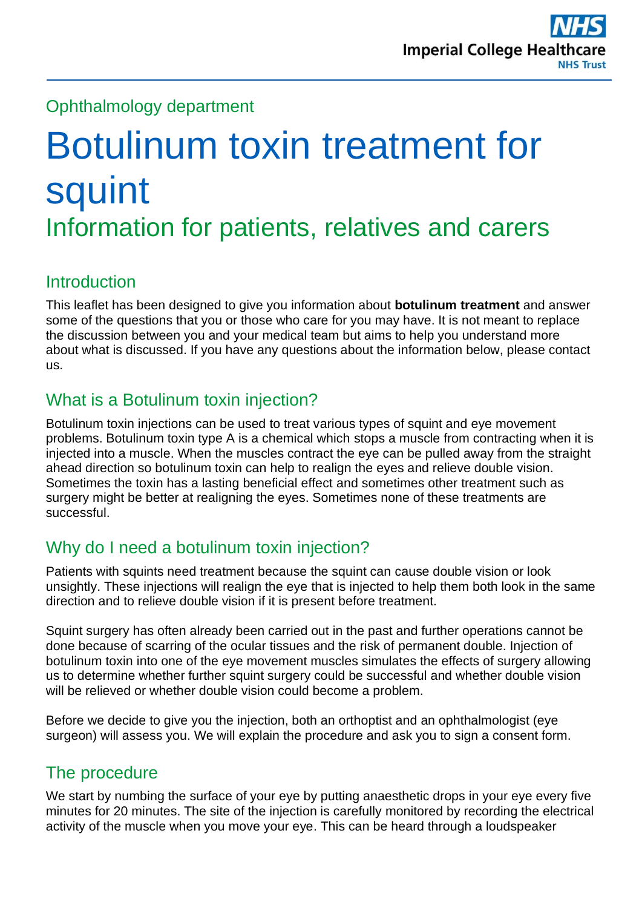## Ophthalmology department

# Botulinum toxin treatment for squint Information for patients, relatives and carers

## Introduction

This leaflet has been designed to give you information about **botulinum treatment** and answer some of the questions that you or those who care for you may have. It is not meant to replace the discussion between you and your medical team but aims to help you understand more about what is discussed. If you have any questions about the information below, please contact us.

## What is a Botulinum toxin injection?

Botulinum toxin injections can be used to treat various types of squint and eye movement problems. Botulinum toxin type A is a chemical which stops a muscle from contracting when it is injected into a muscle. When the muscles contract the eye can be pulled away from the straight ahead direction so botulinum toxin can help to realign the eyes and relieve double vision. Sometimes the toxin has a lasting beneficial effect and sometimes other treatment such as surgery might be better at realigning the eyes. Sometimes none of these treatments are successful.

## Why do I need a botulinum toxin injection?

Patients with squints need treatment because the squint can cause double vision or look unsightly. These injections will realign the eye that is injected to help them both look in the same direction and to relieve double vision if it is present before treatment.

Squint surgery has often already been carried out in the past and further operations cannot be done because of scarring of the ocular tissues and the risk of permanent double. Injection of botulinum toxin into one of the eye movement muscles simulates the effects of surgery allowing us to determine whether further squint surgery could be successful and whether double vision will be relieved or whether double vision could become a problem.

Before we decide to give you the injection, both an orthoptist and an ophthalmologist (eye surgeon) will assess you. We will explain the procedure and ask you to sign a consent form.

# The procedure

We start by numbing the surface of your eye by putting anaesthetic drops in your eye every five minutes for 20 minutes. The site of the injection is carefully monitored by recording the electrical activity of the muscle when you move your eye. This can be heard through a loudspeaker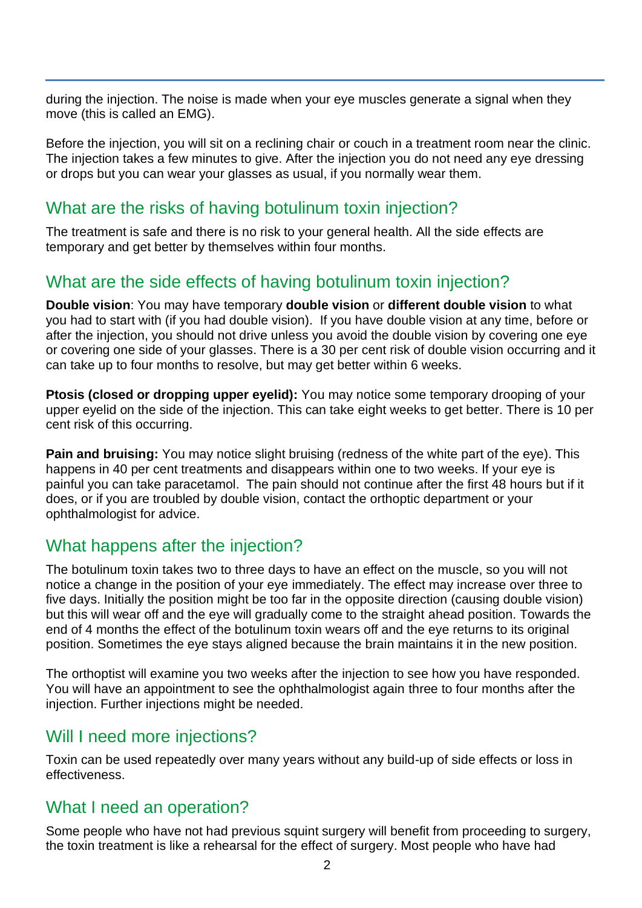during the injection. The noise is made when your eye muscles generate a signal when they move (this is called an EMG).

Before the injection, you will sit on a reclining chair or couch in a treatment room near the clinic. The injection takes a few minutes to give. After the injection you do not need any eye dressing or drops but you can wear your glasses as usual, if you normally wear them.

#### What are the risks of having botulinum toxin injection?

The treatment is safe and there is no risk to your general health. All the side effects are temporary and get better by themselves within four months.

#### What are the side effects of having botulinum toxin injection?

**Double vision**: You may have temporary **double vision** or **different double vision** to what you had to start with (if you had double vision). If you have double vision at any time, before or after the injection, you should not drive unless you avoid the double vision by covering one eye or covering one side of your glasses. There is a 30 per cent risk of double vision occurring and it can take up to four months to resolve, but may get better within 6 weeks.

**Ptosis (closed or dropping upper eyelid):** You may notice some temporary drooping of your upper eyelid on the side of the injection. This can take eight weeks to get better. There is 10 per cent risk of this occurring.

**Pain and bruising:** You may notice slight bruising (redness of the white part of the eye). This happens in 40 per cent treatments and disappears within one to two weeks. If your eye is painful you can take paracetamol. The pain should not continue after the first 48 hours but if it does, or if you are troubled by double vision, contact the orthoptic department or your ophthalmologist for advice.

#### What happens after the injection?

The botulinum toxin takes two to three days to have an effect on the muscle, so you will not notice a change in the position of your eye immediately. The effect may increase over three to five days. Initially the position might be too far in the opposite direction (causing double vision) but this will wear off and the eye will gradually come to the straight ahead position. Towards the end of 4 months the effect of the botulinum toxin wears off and the eye returns to its original position. Sometimes the eye stays aligned because the brain maintains it in the new position.

The orthoptist will examine you two weeks after the injection to see how you have responded. You will have an appointment to see the ophthalmologist again three to four months after the injection. Further injections might be needed.

#### Will I need more injections?

Toxin can be used repeatedly over many years without any build-up of side effects or loss in effectiveness.

#### What I need an operation?

Some people who have not had previous squint surgery will benefit from proceeding to surgery, the toxin treatment is like a rehearsal for the effect of surgery. Most people who have had